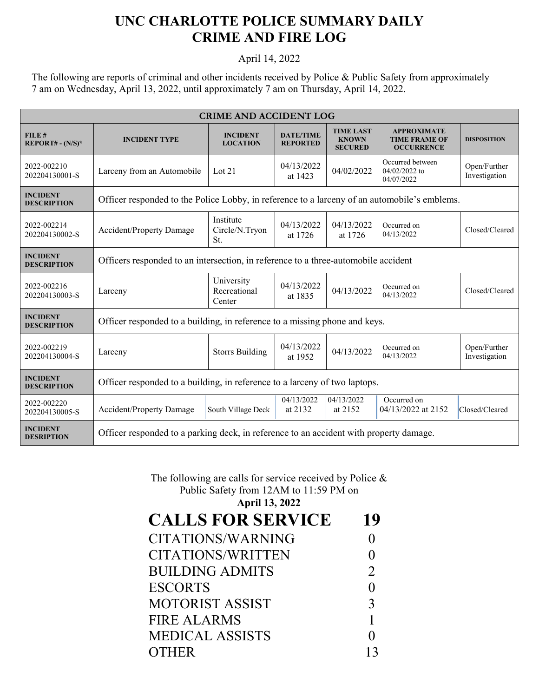## **UNC CHARLOTTE POLICE SUMMARY DAILY CRIME AND FIRE LOG**

## April 14, 2022

The following are reports of criminal and other incidents received by Police & Public Safety from approximately 7 am on Wednesday, April 13, 2022, until approximately 7 am on Thursday, April 14, 2022.

| <b>CRIME AND ACCIDENT LOG</b>         |                                                                                              |                                      |                                     |                                                    |                                                                 |                               |  |  |
|---------------------------------------|----------------------------------------------------------------------------------------------|--------------------------------------|-------------------------------------|----------------------------------------------------|-----------------------------------------------------------------|-------------------------------|--|--|
| FILE#<br>$REPORT# - (N/S)*$           | <b>INCIDENT TYPE</b>                                                                         | <b>INCIDENT</b><br><b>LOCATION</b>   | <b>DATE/TIME</b><br><b>REPORTED</b> | <b>TIME LAST</b><br><b>KNOWN</b><br><b>SECURED</b> | <b>APPROXIMATE</b><br><b>TIME FRAME OF</b><br><b>OCCURRENCE</b> | <b>DISPOSITION</b>            |  |  |
| 2022-002210<br>202204130001-S         | Larceny from an Automobile                                                                   | Lot $21$                             | 04/13/2022<br>at 1423               | 04/02/2022                                         | Occurred between<br>$04/02/2022$ to<br>04/07/2022               | Open/Further<br>Investigation |  |  |
| <b>INCIDENT</b><br><b>DESCRIPTION</b> | Officer responded to the Police Lobby, in reference to a larceny of an automobile's emblems. |                                      |                                     |                                                    |                                                                 |                               |  |  |
| 2022-002214<br>202204130002-S         | <b>Accident/Property Damage</b>                                                              | Institute<br>Circle/N.Tryon<br>St.   | 04/13/2022<br>at 1726               | 04/13/2022<br>at 1726                              | Occurred on<br>04/13/2022                                       | Closed/Cleared                |  |  |
| <b>INCIDENT</b><br><b>DESCRIPTION</b> | Officers responded to an intersection, in reference to a three-automobile accident           |                                      |                                     |                                                    |                                                                 |                               |  |  |
| 2022-002216<br>202204130003-S         | Larceny                                                                                      | University<br>Recreational<br>Center | 04/13/2022<br>at 1835               | 04/13/2022                                         | Occurred on<br>04/13/2022                                       | Closed/Cleared                |  |  |
| <b>INCIDENT</b><br><b>DESCRIPTION</b> | Officer responded to a building, in reference to a missing phone and keys.                   |                                      |                                     |                                                    |                                                                 |                               |  |  |
| 2022-002219<br>202204130004-S         | Larceny                                                                                      | <b>Storrs Building</b>               | 04/13/2022<br>at 1952               | 04/13/2022                                         | Occurred on<br>04/13/2022                                       | Open/Further<br>Investigation |  |  |
| <b>INCIDENT</b><br><b>DESCRIPTION</b> | Officer responded to a building, in reference to a larceny of two laptops.                   |                                      |                                     |                                                    |                                                                 |                               |  |  |
| 2022-002220<br>202204130005-S         | Accident/Property Damage                                                                     | South Village Deck                   | 04/13/2022<br>at 2132               | 04/13/2022<br>at 2152                              | Occurred on<br>04/13/2022 at 2152                               | Closed/Cleared                |  |  |
| <b>INCIDENT</b><br><b>DESRIPTION</b>  | Officer responded to a parking deck, in reference to an accident with property damage.       |                                      |                                     |                                                    |                                                                 |                               |  |  |

## The following are calls for service received by Police & Public Safety from 12AM to 11:59 PM on

**April 13, 2022**

| <b>CALLS FOR SERVICE</b> | 19             |
|--------------------------|----------------|
| CITATIONS/WARNING        |                |
| CITATIONS/WRITTEN        |                |
| <b>BUILDING ADMITS</b>   | $\overline{2}$ |
| <b>ESCORTS</b>           |                |
| <b>MOTORIST ASSIST</b>   | 3              |
| <b>FIRE ALARMS</b>       |                |
| <b>MEDICAL ASSISTS</b>   |                |
| <b>OTHER</b>             |                |